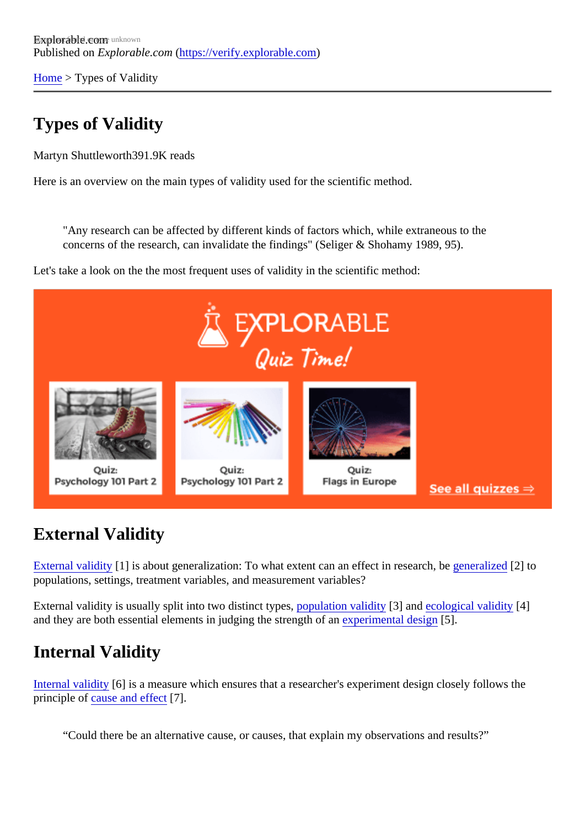[Home](https://verify.explorable.com/) > Types of Validity

# Types of Validity

Martyn Shuttlewort<sup>891.9K</sup> reads

Here is an overview on the main types of validity used for the scientific method.

"Any research can be affected by different kinds of factors which, while extraneous to the concerns of the research, can invalidate the findings" (Seliger & Shohamy 1989, 95).

Let's take a look on the the most frequent uses of validity in the scientific method:

## External Validity

[External validity](https://verify.explorable.com/external-validity)[1] is about generalization: To what extent can an effect in research be glized 2] to populations, settings, treatment variables, and measurement variables?

External validity is usually split into two distinct types pulation validity[3] an[d ecological validity](https://verify.explorable.com/ecological-validity)[4] and they are both essential elements in judging the strength of an ential designed.

### Internal Validity

[Internal validity](https://verify.explorable.com/internal-validity)[6] is a measure which ensures that a researcher's experiment design closely follows the principle of [cause and effe](https://verify.explorable.com/cause-and-effect)ct $[7]$ .

"Could there be an alternative cause, or causes, that explain my observations and results?"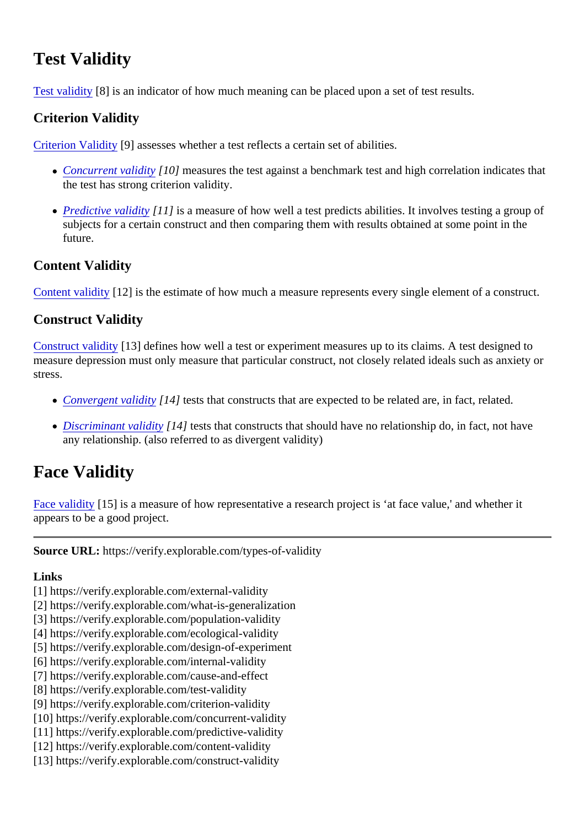# Test Validity

[Test validity](https://verify.explorable.com/test-validity)[8] is an indicator of how much meaning can be placed upon a set of test results.

#### Criterion Validity

[Criterion Validity](https://verify.explorable.com/criterion-validity)[9] assesses whether a test reflects a certain set of abilities.

- [Concurrent validity](https://verify.explorable.com/concurrent-validity)[10] measures the test against a benchmark test and high correlation indicates that the test has strong criterion validity.
- [Predictive validity](https://verify.explorable.com/predictive-validity)[11] is a measure of how well a test predicts abilities. It involves testing a group of subjects for a certain construct and then comparing them with results obtained at some point in the future.

#### Content Validity

[Content validity](https://verify.explorable.com/content-validity)[12] is the estimate of how much a measure represents every single element of a construct.

#### Construct Validity

[Construct validity](https://verify.explorable.com/construct-validity)[13] defines how well a test or experiment measures up to its claims. A test designed to measure depression must only measure that particular construct, not closely related ideals such as anxiet stress.

- [Convergent validit](https://verify.explorable.com/convergent-validity)y<sup>14</sup>] tests that constructs that are expected to be related are, in fact, related.
- [Discriminant validity](https://verify.explorable.com/convergent-validity)[14] tests that constructs that should have no relationship do, in fact, not have any relationship. (also referred to as divergent validity)

## Face Validity

[Face validity](https://verify.explorable.com/face-validity)[15] is a measure of how representative a research project is 'at face value,' and whether it appears to be a good project.

Source URL: https://verify.explorable.com/types-of-validity

Links

- [1] https://verify.explorable.com/external-validity
- [2] https://verify.explorable.com/what-is-generalization
- [3] https://verify.explorable.com/population-validity
- [4] https://verify.explorable.com/ecological-validity
- [5] https://verify.explorable.com/design-of-experiment
- [6] https://verify.explorable.com/internal-validity
- [7] https://verify.explorable.com/cause-and-effect
- [8] https://verify.explorable.com/test-validity
- [9] https://verify.explorable.com/criterion-validity
- [10] https://verify.explorable.com/concurrent-validity
- [11] https://verify.explorable.com/predictive-validity
- [12] https://verify.explorable.com/content-validity
- [13] https://verify.explorable.com/construct-validity